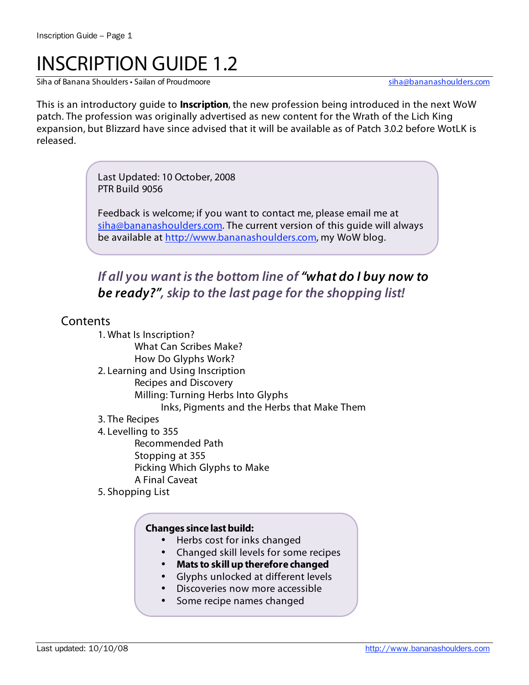# INSCRIPTION GUIDE 1.2

Siha of Banana Shoulders • Sailan of Proudmoore sina and states when the state of Bananashoulders.com

This is an introductory guide to **Inscription**, the new profession being introduced in the next WoW patch. The profession was originally advertised as new content for the Wrath of the Lich King expansion, but Blizzard have since advised that it will be available as of Patch 3.0.2 before WotLK is released.

> Last Updated: 10 October, 2008 PTR Build 9056

Feedback is welcome; if you want to contact me, please email me at siha@bananashoulders.com. The current version of this guide will always be available at http://www.bananashoulders.com, my WoW blog.

# **If all you want is the bottom line of "what do I buy now to be ready?", skip to the last page for the shopping list!**

# **Contents**

- 1. What Is Inscription? What Can Scribes Make? How Do Glyphs Work? 2. Learning and Using Inscription Recipes and Discovery Milling: Turning Herbs Into Glyphs Inks, Pigments and the Herbs that Make Them 3. The Recipes 4. Levelling to 355 Recommended Path Stopping at 355 Picking Which Glyphs to Make A Final Caveat
- 5. Shopping List

### **Changes since last build:**

- Herbs cost for inks changed
- Changed skill levels for some recipes
- **Mats to skill up therefore changed**
- Glyphs unlocked at different levels
- Discoveries now more accessible
- Some recipe names changed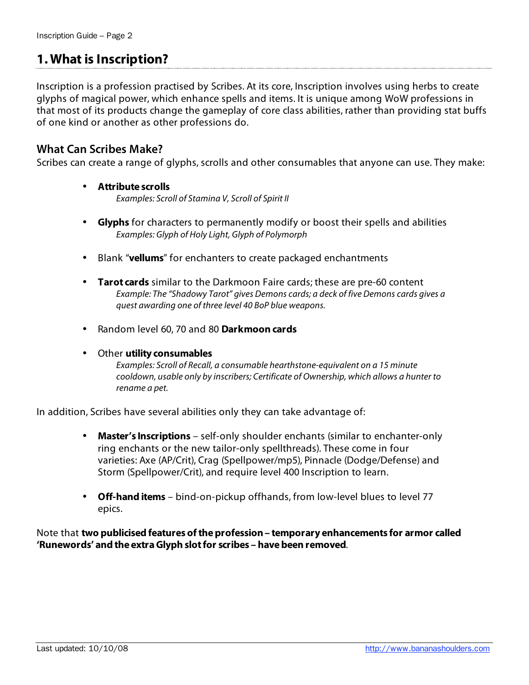# **1. What is Inscription?**

Inscription is a profession practised by Scribes. At its core, Inscription involves using herbs to create glyphs of magical power, which enhance spells and items. It is unique among WoW professions in that most of its products change the gameplay of core class abilities, rather than providing stat buffs of one kind or another as other professions do.

# **What Can Scribes Make?**

Scribes can create a range of glyphs, scrolls and other consumables that anyone can use. They make:

- **Attribute scrolls**  Examples: Scroll of Stamina V, Scroll of Spirit II
- **Glyphs** for characters to permanently modify or boost their spells and abilities Examples: Glyph of Holy Light, Glyph of Polymorph
- Blank "**vellums**" for enchanters to create packaged enchantments
- **Tarot cards** similar to the Darkmoon Faire cards; these are pre-60 content Example: The "Shadowy Tarot" gives Demons cards; a deck of five Demons cards gives a quest awarding one of three level 40 BoP blue weapons.
- Random level 60, 70 and 80 **Darkmoon cards**
- Other **utility consumables**

Examples: Scroll of Recall, a consumable hearthstone-equivalent on a 15 minute cooldown, usable only by inscribers; Certificate of Ownership, which allows a hunter to rename a pet.

In addition, Scribes have several abilities only they can take advantage of:

- **Master's Inscriptions** self-only shoulder enchants (similar to enchanter-only ring enchants or the new tailor-only spellthreads). These come in four varieties: Axe (AP/Crit), Crag (Spellpower/mp5), Pinnacle (Dodge/Defense) and Storm (Spellpower/Crit), and require level 400 Inscription to learn.
- **Off-hand items** bind-on-pickup offhands, from low-level blues to level 77 epics.

Note that **two publicised features of the profession – temporary enhancements for armor called 'Runewords' and the extra Glyph slot for scribes – have been removed**.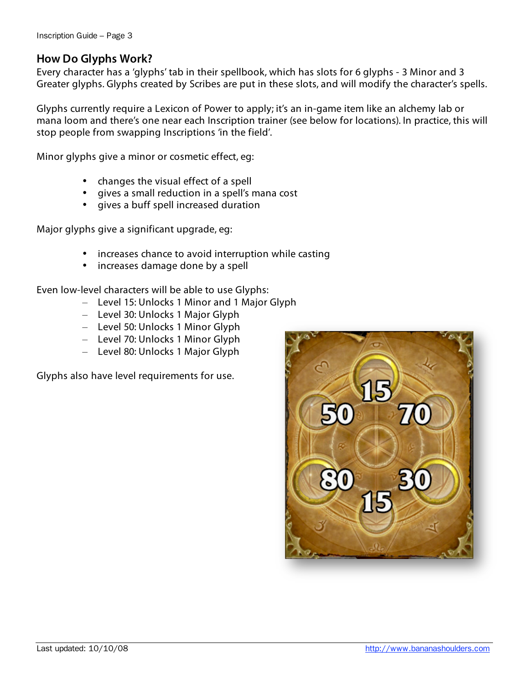# **How Do Glyphs Work?**

Every character has a 'glyphs' tab in their spellbook, which has slots for 6 glyphs - 3 Minor and 3 Greater glyphs. Glyphs created by Scribes are put in these slots, and will modify the character's spells.

Glyphs currently require a Lexicon of Power to apply; it's an in-game item like an alchemy lab or mana loom and there's one near each Inscription trainer (see below for locations). In practice, this will stop people from swapping Inscriptions 'in the field'.

Minor glyphs give a minor or cosmetic effect, eg:

- changes the visual effect of a spell
- gives a small reduction in a spell's mana cost
- gives a buff spell increased duration

Major glyphs give a significant upgrade, eg:

- increases chance to avoid interruption while casting
- increases damage done by a spell

Even low-level characters will be able to use Glyphs:

- Level 15: Unlocks 1 Minor and 1 Major Glyph
- Level 30: Unlocks 1 Major Glyph
- Level 50: Unlocks 1 Minor Glyph
- Level 70: Unlocks 1 Minor Glyph
- Level 80: Unlocks 1 Major Glyph

Glyphs also have level requirements for use.

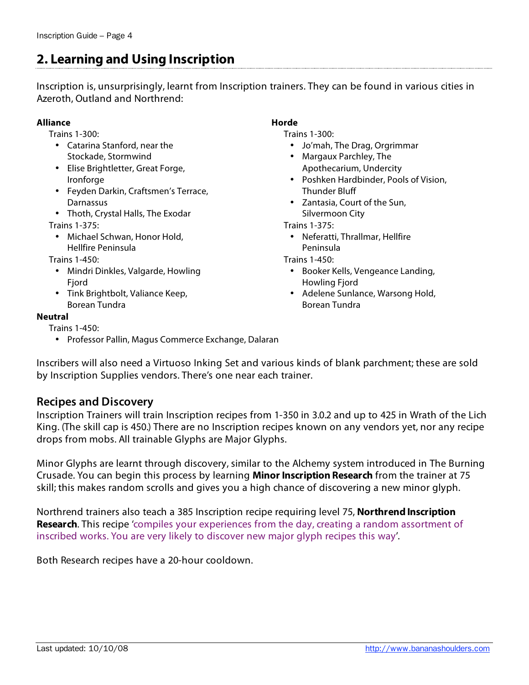# **2. Learning and Using Inscription**

Inscription is, unsurprisingly, learnt from Inscription trainers. They can be found in various cities in Azeroth, Outland and Northrend:

#### **Alliance**

Trains 1-300:

- Catarina Stanford, near the Stockade, Stormwind
- Elise Brightletter, Great Forge, Ironforge
- Feyden Darkin, Craftsmen's Terrace, **Darnassus**
- Thoth, Crystal Halls, The Exodar
- Trains 1-375:
	- Michael Schwan, Honor Hold, Hellfire Peninsula

Trains 1-450:

- Mindri Dinkles, Valgarde, Howling Fiord
- Tink Brightbolt, Valiance Keep, Borean Tundra

#### **Neutral**

Trains 1-450:

• Professor Pallin, Magus Commerce Exchange, Dalaran

**Horde**

Trains 1-300:

- Jo'mah, The Drag, Orgrimmar
- Margaux Parchley, The Apothecarium, Undercity
- Poshken Hardbinder, Pools of Vision, Thunder Bluff
- Zantasia, Court of the Sun, Silvermoon City

Trains 1-375:

• Neferatti, Thrallmar, Hellfire Peninsula

Trains 1-450:

- Booker Kells, Vengeance Landing, Howling Fjord
- Adelene Sunlance, Warsong Hold, Borean Tundra

Inscribers will also need a Virtuoso Inking Set and various kinds of blank parchment; these are sold by Inscription Supplies vendors. There's one near each trainer.

# **Recipes and Discovery**

Inscription Trainers will train Inscription recipes from 1-350 in 3.0.2 and up to 425 in Wrath of the Lich King. (The skill cap is 450.) There are no Inscription recipes known on any vendors yet, nor any recipe drops from mobs. All trainable Glyphs are Major Glyphs.

Minor Glyphs are learnt through discovery, similar to the Alchemy system introduced in The Burning Crusade. You can begin this process by learning **Minor Inscription Research** from the trainer at 75 skill; this makes random scrolls and gives you a high chance of discovering a new minor glyph.

Northrend trainers also teach a 385 Inscription recipe requiring level 75, **Northrend Inscription Research**. This recipe 'compiles your experiences from the day, creating a random assortment of inscribed works. You are very likely to discover new major glyph recipes this way'.

Both Research recipes have a 20-hour cooldown.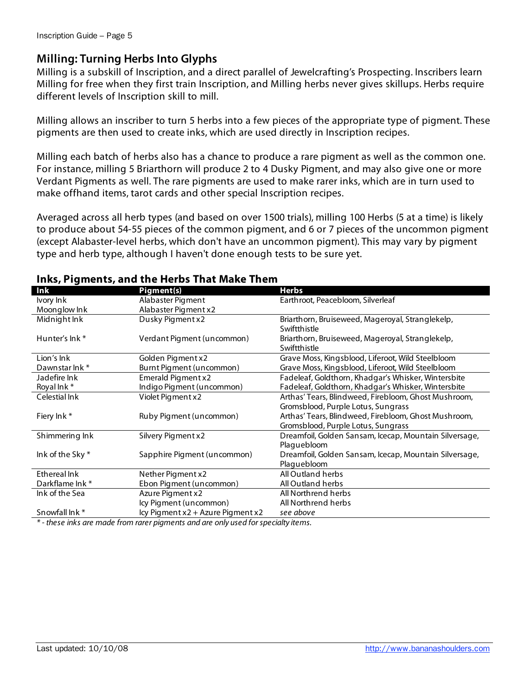# **Milling: Turning Herbs Into Glyphs**

Milling is a subskill of Inscription, and a direct parallel of Jewelcrafting's Prospecting. Inscribers learn Milling for free when they first train Inscription, and Milling herbs never gives skillups. Herbs require different levels of Inscription skill to mill.

Milling allows an inscriber to turn 5 herbs into a few pieces of the appropriate type of pigment. These pigments are then used to create inks, which are used directly in Inscription recipes.

Milling each batch of herbs also has a chance to produce a rare pigment as well as the common one. For instance, milling 5 Briarthorn will produce 2 to 4 Dusky Pigment, and may also give one or more Verdant Pigments as well. The rare pigments are used to make rarer inks, which are in turn used to make offhand items, tarot cards and other special Inscription recipes.

Averaged across all herb types (and based on over 1500 trials), milling 100 Herbs (5 at a time) is likely to produce about 54-55 pieces of the common pigment, and 6 or 7 pieces of the uncommon pigment (except Alabaster-level herbs, which don't have an uncommon pigment). This may vary by pigment type and herb type, although I haven't done enough tests to be sure yet.

| <br>Ink          | Pigment(s)                        | <b>Herbs</b>                                                                               |
|------------------|-----------------------------------|--------------------------------------------------------------------------------------------|
| Ivory Ink        | Alabaster Pigment                 | Earthroot, Peacebloom, Silverleaf                                                          |
| Moonglow Ink     | Alabaster Pigment x2              |                                                                                            |
| Midnight Ink     | Dusky Pigment x2                  | Briarthorn, Bruiseweed, Mageroyal, Stranglekelp,<br>Swiftthistle                           |
| Hunter's lnk *   | Verdant Pigment (uncommon)        | Briarthorn, Bruiseweed, Mageroyal, Stranglekelp,<br>Swiftthistle                           |
| Lion's Ink       | Golden Pigment x2                 | Grave Moss, Kingsblood, Liferoot, Wild Steelbloom                                          |
| Dawnstar Ink*    | Burnt Pigment (uncommon)          | Grave Moss, Kingsblood, Liferoot, Wild Steelbloom                                          |
| Jadefire Ink     | Emerald Pigment x2                | Fadeleaf, Goldthorn, Khadgar's Whisker, Wintersbite                                        |
| Royal Ink*       | Indigo Pigment (uncommon)         | Fadeleaf, Goldthorn, Khadgar's Whisker, Wintersbite                                        |
| Celestial Ink    | Violet Pigment x2                 | Arthas' Tears, Blindweed, Firebloom, Ghost Mushroom,                                       |
| Fiery Ink*       | Ruby Pigment (uncommon)           | Gromsblood, Purple Lotus, Sungrass<br>Arthas' Tears, Blindweed, Firebloom, Ghost Mushroom, |
|                  |                                   | Gromsblood, Purple Lotus, Sungrass                                                         |
| Shimmering Ink   | Silvery Pigment x2                | Dreamfoil, Golden Sansam, Icecap, Mountain Silversage,                                     |
|                  |                                   | Plaguebloom                                                                                |
| Ink of the Sky * | Sapphire Pigment (uncommon)       | Dreamfoil, Golden Sansam, Icecap, Mountain Silversage,                                     |
|                  |                                   | Plaguebloom                                                                                |
| Ethereal Ink     | Nether Pigment x2                 | All Outland herbs                                                                          |
| Darkflame Ink*   | Ebon Pigment (uncommon)           | All Outland herbs                                                                          |
| Ink of the Sea   | Azure Pigment x2                  | All Northrend herbs                                                                        |
|                  | lcy Pigment (uncommon)            | All Northrend herbs                                                                        |
| Snowfall Ink*    | lcy Pigment x2 + Azure Pigment x2 | see above                                                                                  |

### **Inks, Pigments, and the Herbs That Make Them**

\* - these inks are made from rarer pigments and are only used for specialty items.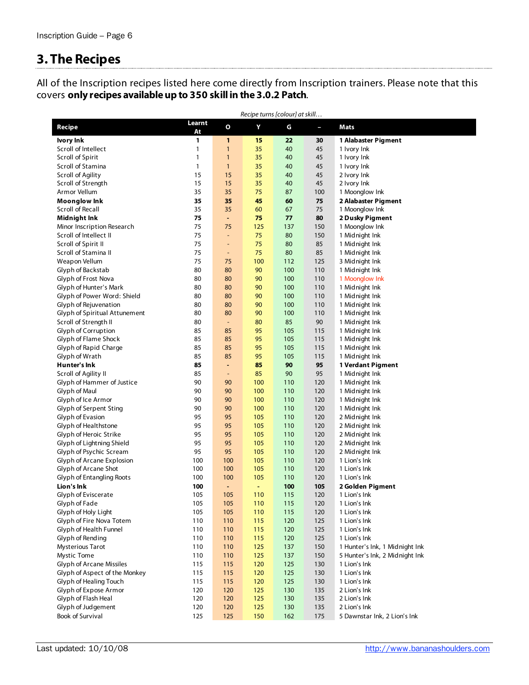# **3. The Recipes**

All of the Inscription recipes listed here come directly from Inscription trainers. Please note that this covers **only recipes available up to 350 skill in the 3.0.2 Patch**.

| Recipe turns [colour] at skill         |              |                |            |     |            |                                                |
|----------------------------------------|--------------|----------------|------------|-----|------------|------------------------------------------------|
| Recipe                                 | Learnt<br>At | О              | Υ          | G   | J,         | Mats                                           |
| Ivory Ink                              | 1            | $\mathbf{1}$   | 15         | 22  | 30         | 1 Alabaster Pigment                            |
| Scroll of Intellect                    | 1            | $\mathbf{1}$   | 35         | 40  | 45         | 1 Ivory Ink                                    |
| Scroll of Spirit                       | $\mathbf{1}$ | $\mathbf{1}$   | 35         | 40  | 45         | 1 Ivory Ink                                    |
| Scroll of Stamina                      | $\mathbf{1}$ | $\mathbf{1}$   | 35         | 40  | 45         | 1 Ivory Ink                                    |
| Scroll of Agility                      | 15           | 15             | 35         | 40  | 45         | 2 Ivory Ink                                    |
| Scroll of Strength                     | 15           | 15             | 35         | 40  | 45         | 2 Ivory Ink                                    |
| Armor Vellum                           | 35           | 35             | 75         | 87  | 100        | 1 Moonglow Ink                                 |
| Moonglow Ink                           | 35           | 35             | 45         | 60  | 75         | 2 Alabaster Pigment                            |
| Scroll of Recall                       | 35           | 35             | 60         | 67  | 75         | 1 Moonglow Ink                                 |
| Midnight Ink                           | 75           | $\blacksquare$ | 75         | 77  | 80         | 2 Dusky Pigment                                |
| Minor Inscription Research             | 75           | 75             | 125        | 137 | 150        | 1 Moonglow Ink                                 |
| Scroll of Intellect II                 | 75           | ÷,             | 75         | 80  | 150        | 1 Midnight Ink                                 |
| Scroll of Spirit II                    | 75           | ÷              | 75         | 80  | 85         | 1 Midnight Ink                                 |
| Scroll of Stamina II                   | 75           | $\blacksquare$ | 75         | 80  | 85         | 1 Midnight Ink                                 |
| Weapon Vellum                          | 75           | 75             | 100        | 112 | 125        | 3 Midnight Ink                                 |
| Glyph of Backstab                      | 80           | 80             | 90         | 100 | 110        | 1 Midnight Ink                                 |
| Glyph of Frost Nova                    | 80           | 80             | 90         | 100 | 110        | 1 Moonglow Ink                                 |
| Glyph of Hunter's Mark                 | 80           | 80             | 90         | 100 | 110        | 1 Midnight Ink                                 |
| Glyph of Power Word: Shield            | 80           | 80             | 90         | 100 | 110        | 1 Midnight Ink                                 |
| Glyph of Rejuvenation                  | 80           | 80             | 90         | 100 | 110        | 1 Midnight Ink                                 |
| Glyph of Spiritual Attunement          | 80           | 80             | 90         | 100 | 110        | 1 Midnight Ink                                 |
| Scroll of Strength II                  | 80           | $\blacksquare$ | 80         | 85  | 90         | 1 Midnight Ink                                 |
| Glyph of Corruption                    | 85           | 85             | 95         | 105 | 115        | 1 Midnight Ink                                 |
| Glyph of Flame Shock                   | 85           | 85             | 95         | 105 | 115        | 1 Midnight Ink                                 |
| Glyph of Rapid Charge                  | 85           | 85             | 95         | 105 | 115        | 1 Midnight Ink                                 |
| Glyph of Wrath                         | 85           | 85             | 95         | 105 | 115        | 1 Midnight Ink                                 |
| Hunter's Ink                           | 85           | ٠              | 85         | 90  | 95         | 1 Verdant Pigment                              |
| Scroll of Agility II                   | 85           | $\blacksquare$ | 85         | 90  | 95         | 1 Midnight Ink                                 |
| Glyph of Hammer of Justice             | 90           | 90             | 100        | 110 | 120        | 1 Midnight Ink                                 |
| Glyph of Maul                          | 90           | 90             | 100        | 110 | 120        | 1 Midnight Ink                                 |
| Glyph of Ice Armor                     | 90           | 90             | 100        | 110 | 120        | 1 Midnight Ink                                 |
| Glyph of Serpent Sting                 | 90           | 90             | 100        | 110 | 120        | 1 Midnight Ink                                 |
| Glyph of Evasion                       | 95           | 95             | 105        | 110 | 120        | 2 Midnight Ink                                 |
| Glyph of Healthstone                   | 95           | 95             | 105        | 110 | 120        | 2 Midnight Ink                                 |
| Glyph of Heroic Strike                 | 95           | 95             | 105        | 110 | 120        | 2 Midnight Ink                                 |
| Glyph of Lightning Shield              | 95           | 95             | 105        | 110 | 120        | 2 Midnight Ink                                 |
| Glyph of Psychic Scream                | 95           | 95             | 105        | 110 | 120        | 2 Midnight Ink                                 |
| Glyph of Arcane Explosion              | 100          | 100            | 105        | 110 | 120        | 1 Lion's Ink                                   |
| Glyph of Arcane Shot                   | 100          | 100            | 105        | 110 | 120        | 1 Lion's Ink                                   |
| <b>Glyph of Entangling Roots</b>       | 100          | 100            | 105        | 110 | 120        | 1 Lion's Ink                                   |
| Lion's Ink                             | 100          | ٠              | ٠          | 100 | 105        | 2 Golden Pigment                               |
| Glyph of Eviscerate                    | 105          | 105            | 110        | 115 | 120        | 1 Lion's Ink                                   |
| Glyph of Fade                          | 105          | 105            | 110        | 115 | 120        | 1 Lion's Ink                                   |
| Glyph of Holy Light                    |              | 105            |            |     | 120        | 1 Lion's Ink                                   |
|                                        | 105          |                | 110        | 115 |            |                                                |
| Glyph of Fire Nova Totem               | 110<br>110   | 110            | 115        | 120 | 125<br>125 | 1 Lion's Ink                                   |
| Glyph of Health Funnel                 |              | 110            | 115        | 120 |            | 1 Lion's Ink                                   |
| Glyph of Rending                       | 110          | 110            | 115        | 120 | 125        | 1 Lion's Ink                                   |
| <b>Mysterious Tarot</b><br>Mystic Tome | 110<br>110   | 110<br>110     | 125<br>125 | 137 | 150<br>150 | 1 Hunter's Ink, 1 Midnight Ink                 |
|                                        |              |                |            | 137 |            | 5 Hunter's Ink, 2 Midnight Ink<br>1 Lion's Ink |
| <b>Glyph of Arcane Missiles</b>        | 115          | 115            | 120        | 125 | 130        |                                                |
| Glyph of Aspect of the Monkey          | 115          | 115            | 120        | 125 | 130        | 1 Lion's Ink                                   |
| Glyph of Healing Touch                 | 115          | 115            | 120        | 125 | 130        | 1 Lion's Ink                                   |
| Glyph of Expose Armor                  | 120          | 120            | 125        | 130 | 135        | 2 Lion's Ink                                   |
| Glyph of Flash Heal                    | 120          | 120            | 125        | 130 | 135        | 2 Lion's Ink                                   |
| Glyph of Judgement                     | 120          | 120            | 125        | 130 | 135        | 2 Lion's Ink                                   |
| Book of Survival                       | 125          | 125            | 150        | 162 | 175        | 5 Dawnstar Ink, 2 Lion's Ink                   |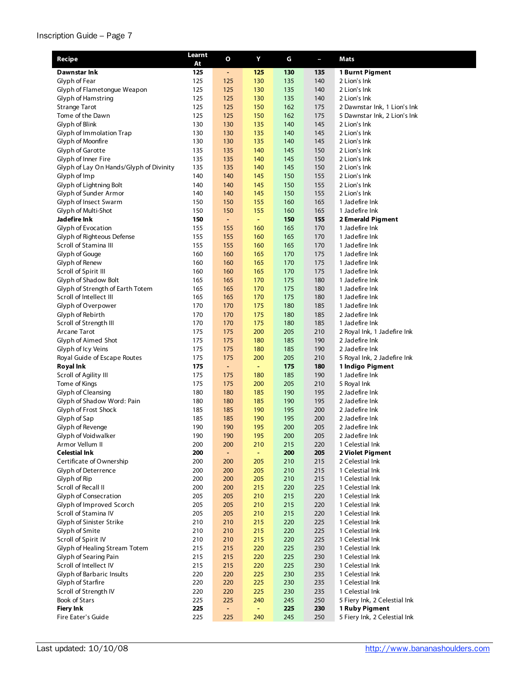#### Inscription Guide – Page 7

| Recipe                                          | Learnt     | O              | Υ          | G          | L          | Mats                               |
|-------------------------------------------------|------------|----------------|------------|------------|------------|------------------------------------|
| Dawnstar Ink                                    | At<br>125  | $\blacksquare$ | 125        | 130        | 135        | 1 Burnt Pigment                    |
| Glyph of Fear                                   | 125        | 125            | 130        | 135        | 140        | 2 Lion's Ink                       |
| Glyph of Flametongue Weapon                     | 125        | 125            | 130        | 135        | 140        | 2 Lion's Ink                       |
| Glyph of Hamstring                              | 125        | 125            | 130        | 135        | 140        | 2 Lion's Ink                       |
| <b>Strange Tarot</b>                            | 125        | 125            | 150        | 162        | 175        | 2 Dawnstar Ink, 1 Lion's Ink       |
| Tome of the Dawn                                | 125        | 125            | 150        | 162        | 175        | 5 Dawnstar Ink, 2 Lion's Ink       |
| Glyph of Blink                                  | 130        | 130            | 135        | 140        | 145        | 2 Lion's Ink                       |
| Glyph of Immolation Trap                        | 130        | 130            | 135        | 140        | 145        | 2 Lion's Ink                       |
| Glyph of Moonfire                               | 130        | 130            | 135        | 140        | 145        | 2 Lion's Ink                       |
| Glyph of Garotte                                | 135        | 135            | 140        | 145        | 150        | 2 Lion's Ink                       |
| Glyph of Inner Fire                             | 135        | 135            | 140        | 145        | 150        | 2 Lion's Ink                       |
| Glyph of Lay On Hands/Glyph of Divinity         | 135        | 135            | 140        | 145        | 150        | 2 Lion's Ink                       |
| Glyph of Imp                                    | 140        | 140            | 145        | 150        | 155        | 2 Lion's Ink                       |
| Glyph of Lightning Bolt                         | 140        | 140            | 145        | 150        | 155        | 2 Lion's Ink                       |
| Glyph of Sunder Armor                           | 140        | 140            | 145        | 150        | 155        | 2 Lion's Ink                       |
| Glyph of Insect Swarm                           | 150        | 150            | 155        | 160        | 165        | 1 Jadefire Ink                     |
| Glyph of Multi-Shot                             | 150        | 150            | 155        | 160        | 165        | 1 Jadefire Ink                     |
| Jadefire Ink                                    | 150        | ÷              | ÷          | 150        | 155        | 2 Emerald Pigment                  |
| Glyph of Evocation                              | 155        | 155            | 160        | 165        | 170        | 1 Jadefire Ink                     |
| Glyph of Righteous Defense                      | 155        | 155            | 160        | 165        | 170        | 1 Jadefire Ink                     |
| Scroll of Stamina III<br>Glyph of Gouge         | 155<br>160 | 155<br>160     | 160<br>165 | 165<br>170 | 170<br>175 | 1 Jadefire Ink<br>1 Jadefire Ink   |
| Glyph of Renew                                  | 160        | 160            | 165        | 170        | 175        | 1 Jadefire Ink                     |
| Scroll of Spirit III                            | 160        | 160            | 165        | 170        | 175        | 1 Jadefire Ink                     |
| Glyph of Shadow Bolt                            | 165        | 165            | 170        | 175        | 180        | 1 Jadefire Ink                     |
| Glyph of Strength of Earth Totem                | 165        | 165            | 170        | 175        | 180        | 1 Jadefire Ink                     |
| Scroll of Intellect III                         | 165        | 165            | 170        | 175        | 180        | 1 Jadefire Ink                     |
| Glyph of Overpower                              | 170        | 170            | 175        | 180        | 185        | 1 Jadefire Ink                     |
| Glyph of Rebirth                                | 170        | 170            | 175        | 180        | 185        | 2 Jadefire Ink                     |
| Scroll of Strength III                          | 170        | 170            | 175        | 180        | 185        | 1 Jadefire Ink                     |
| Arcane Tarot                                    | 175        | 175            | 200        | 205        | 210        | 2 Royal Ink, 1 Jadefire Ink        |
| Glyph of Aimed Shot                             | 175        | 175            | 180        | 185        | 190        | 2 Jadefire Ink                     |
| Glyph of Icy Veins                              | 175        | 175            | 180        | 185        | 190        | 2 Jadefire Ink                     |
| Royal Guide of Escape Routes                    | 175        | 175            | 200        | 205        | 210        | 5 Royal Ink, 2 Jadefire Ink        |
| <b>Royal Ink</b>                                | 175        | ÷              | ÷.         | 175        | 180        | 1 Indigo Pigment                   |
| Scroll of Agility III                           | 175        | 175            | 180        | 185        | 190        | 1 Jadefire Ink                     |
| Tome of Kings                                   | 175        | 175            | 200        | 205        | 210        | 5 Royal Ink                        |
| Glyph of Cleansing                              | 180        | 180            | 185        | 190        | 195        | 2 Jadefire Ink                     |
| Glyph of Shadow Word: Pain                      | 180        | 180            | 185        | 190        | 195        | 2 Jadefire Ink                     |
| Glyph of Frost Shock                            | 185        | 185            | 190        | 195        | 200        | 2 Jadefire Ink                     |
| Glyph of Sap                                    | 185        | 185            | 190        | 195        | 200        | 2 Jadefire Ink                     |
| Glyph of Revenge                                | 190        | 190            | 195        | 200        | 205        | 2 Jadefire Ink                     |
| Glyph of Voidwalker                             | 190        | 190            | 195        | 200        | 205        | 2 Jadefire Ink                     |
| Armor Vellum II                                 | 200        | 200            | 210        | 215        | 220        | 1 Celestial Ink                    |
| <b>Celestial Ink</b>                            | 200<br>200 | ٠              | Ξ          | 200        | 205        | 2 Violet Pigment                   |
| Certificate of Ownership<br>Glyph of Deterrence | 200        | 200<br>200     | 205<br>205 | 210<br>210 | 215<br>215 | 2 Celestial Ink<br>1 Celestial Ink |
| Glyph of Rip                                    | 200        | 200            | 205        | 210        | 215        | 1 Celestial Ink                    |
| Scroll of Recall II                             | 200        | 200            | 215        | 220        | 225        | 1 Celestial Ink                    |
| Glyph of Consecration                           | 205        | 205            | 210        | 215        | 220        | 1 Celestial Ink                    |
| Glyph of Improved Scorch                        | 205        | 205            | 210        | 215        | 220        | 1 Celestial Ink                    |
| Scroll of Stamina IV                            | 205        | 205            | 210        | 215        | 220        | 1 Celestial Ink                    |
| Glyph of Sinister Strike                        | 210        | 210            | 215        | 220        | 225        | 1 Celestial Ink                    |
| Glyph of Smite                                  | 210        | 210            | 215        | 220        | 225        | 1 Celestial Ink                    |
| Scroll of Spirit IV                             | 210        | 210            | 215        | 220        | 225        | 1 Celestial Ink                    |
| Glyph of Healing Stream Totem                   | 215        | 215            | 220        | 225        | 230        | 1 Celestial Ink                    |
| Glyph of Searing Pain                           | 215        | 215            | 220        | 225        | 230        | 1 Celestial Ink                    |
| Scroll of Intellect IV                          | 215        | 215            | 220        | 225        | 230        | 1 Celestial Ink                    |
| Glyph of Barbaric Insults                       | 220        | 220            | 225        | 230        | 235        | 1 Celestial Ink                    |
| Glyph of Starfire                               | 220        | 220            | 225        | 230        | 235        | 1 Celestial Ink                    |
| Scroll of Strength IV                           | 220        | 220            | 225        | 230        | 235        | 1 Celestial Ink                    |
| Book of Stars                                   | 225        | 225            | 240        | 245        | 250        | 5 Fiery Ink, 2 Celestial Ink       |
| Fiery Ink                                       | 225        | $\blacksquare$ | ÷          | 225        | 230        | 1 Ruby Pigment                     |
| Fire Eater's Guide                              | 225        | 225            | 240        | 245        | 250        | 5 Fiery Ink, 2 Celestial Ink       |

٠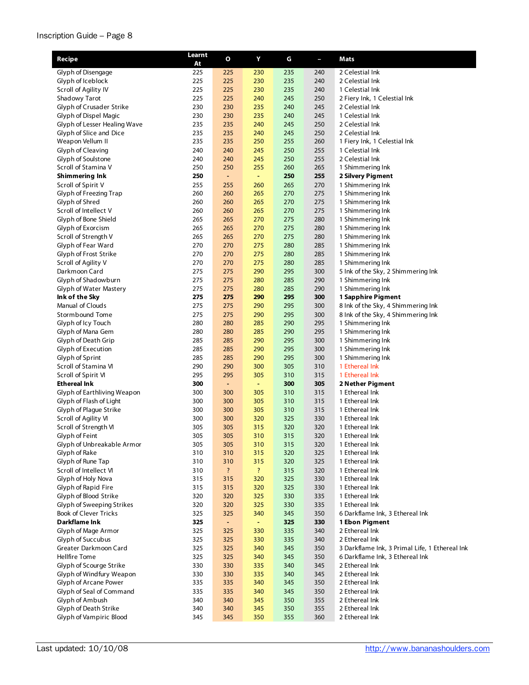#### Inscription Guide – Page 8

| Recipe                                                  | Learnt     | $\mathbf{o}$ | Υ                        | G          | T          | Mats                                           |
|---------------------------------------------------------|------------|--------------|--------------------------|------------|------------|------------------------------------------------|
|                                                         | At         |              |                          |            |            |                                                |
| Glyph of Disengage                                      | 225        | 225          | 230                      | 235        | 240        | 2 Celestial Ink                                |
| Glyph of Iceblock                                       | 225        | 225          | 230                      | 235        | 240        | 2 Celestial Ink                                |
| Scroll of Agility IV                                    | 225        | 225          | 230                      | 235        | 240        | 1 Celestial Ink                                |
| Shadowy Tarot                                           | 225        | 225          | 240                      | 245        | 250        | 2 Fiery Ink, 1 Celestial Ink                   |
| Glyph of Crusader Strike                                | 230        | 230          | 235                      | 240        | 245        | 2 Celestial Ink                                |
| Glyph of Dispel Magic                                   | 230        | 230          | 235                      | 240        | 245<br>250 | 1 Celestial Ink<br>2 Celestial Ink             |
| Glyph of Lesser Healing Wave<br>Glyph of Slice and Dice | 235<br>235 | 235<br>235   | 240<br>240               | 245<br>245 | 250        | 2 Celestial Ink                                |
| Weapon Vellum II                                        | 235        | 235          | 250                      | 255        | 260        | 1 Fiery Ink, 1 Celestial Ink                   |
| Glyph of Cleaving                                       | 240        | 240          | 245                      | 250        | 255        | 1 Celestial Ink                                |
| Glyph of Soulstone                                      | 240        | 240          | 245                      | 250        | 255        | 2 Celestial Ink                                |
| Scroll of Stamina V                                     | 250        | 250          | 255                      | 260        | 265        | 1 Shimmering Ink                               |
| <b>Shimmering Ink</b>                                   | 250        | ÷            | $\blacksquare$           | 250        | 255        | 2 Silvery Pigment                              |
| Scroll of Spirit V                                      | 255        | 255          | 260                      | 265        | 270        | 1 Shimmering Ink                               |
| Glyph of Freezing Trap                                  | 260        | 260          | 265                      | 270        | 275        | 1 Shimmering Ink                               |
| Glyph of Shred                                          | 260        | 260          | 265                      | 270        | 275        | 1 Shimmering Ink                               |
| Scroll of Intellect V                                   | 260        | 260          | 265                      | 270        | 275        | 1 Shimmering Ink                               |
| Glyph of Bone Shield                                    | 265        | 265          | 270                      | 275        | 280        | 1 Shimmering Ink                               |
| Glyph of Exorcism                                       | 265        | 265          | 270                      | 275        | 280        | 1 Shimmering Ink                               |
| Scroll of Strength V                                    | 265        | 265          | 270                      | 275        | 280        | 1 Shimmering Ink                               |
| Glyph of Fear Ward                                      | 270        | 270          | 275                      | 280        | 285        | 1 Shimmering Ink                               |
| Glyph of Frost Strike                                   | 270        | 270          | 275                      | 280        | 285        | 1 Shimmering Ink                               |
| Scroll of Agility V                                     | 270        | 270          | 275                      | 280        | 285        | 1 Shimmering Ink                               |
| Darkmoon Card                                           | 275        | 275          | 290                      | 295        | 300        | 5 Ink of the Sky, 2 Shimmering Ink             |
| Glyph of Shadowburn                                     | 275        | 275          | 280                      | 285        | 290        | 1 Shimmering Ink                               |
| Glyph of Water Mastery                                  | 275        | 275          | 280                      | 285        | 290        | 1 Shimmering Ink                               |
| Ink of the Sky                                          | 275        | 275          | 290                      | 295        | 300        | 1 Sapphire Pigment                             |
| Manual of Clouds                                        | 275        | 275          | 290                      | 295        | 300        | 8 Ink of the Sky, 4 Shimmering Ink             |
| Stormbound Tome                                         | 275        | 275          | 290                      | 295        | 300        | 8 Ink of the Sky, 4 Shimmering Ink             |
| Glyph of Icy Touch<br>Glyph of Mana Gem                 | 280<br>280 | 280<br>280   | 285<br>285               | 290<br>290 | 295<br>295 | 1 Shimmering Ink<br>1 Shimmering Ink           |
| Glyph of Death Grip                                     | 285        | 285          | 290                      | 295        | 300        | 1 Shimmering Ink                               |
| Glyph of Execution                                      | 285        | 285          | 290                      | 295        | 300        | 1 Shimmering Ink                               |
| Glyph of Sprint                                         | 285        | 285          | 290                      | 295        | 300        | 1 Shimmering Ink                               |
| Scroll of Stamina VI                                    | 290        | 290          | 300                      | 305        | 310        | 1 Ethereal Ink                                 |
| Scroll of Spirit VI                                     | 295        | 295          | 305                      | 310        | 315        | 1 Ethereal Ink                                 |
| <b>Ethereal Ink</b>                                     | 300        | ÷            | Ξ                        | 300        | 305        | 2 Nether Pigment                               |
| Glyph of Earthliving Weapon                             | 300        | 300          | 305                      | 310        | 315        | 1 Ethereal Ink                                 |
| Glyph of Flash of Light                                 | 300        | 300          | 305                      | 310        | 315        | 1 Ethereal Ink                                 |
| Glyph of Plague Strike                                  | 300        | 300          | 305                      | 310        | 315        | 1 Ethereal Ink                                 |
| Scroll of Agility VI                                    | 300        | 300          | 320                      | 325        | 330        | 1 Ethereal Ink                                 |
| Scroll of Strength VI                                   | 305        | 305          | 315                      | 320        | 320        | 1 Ethereal Ink                                 |
| Glyph of Feint                                          | 305        | 305          | 310                      | 315        | 320        | 1 Ethereal Ink                                 |
| Glyph of Unbreakable Armor                              | 305        | 305          | 310                      | 315        | 320        | 1 Ethereal Ink                                 |
| Glyph of Rake                                           | 310        | 310          | 315                      | 320        | 325        | 1 Ethereal Ink                                 |
| Glyph of Rune Tap                                       | 310        | 310          | 315                      | 320        | 325        | 1 Ethereal Ink                                 |
| Scroll of Intellect VI                                  | 310        | $\ddot{?}$   | $\overline{\mathcal{L}}$ | 315        | 320        | 1 Ethereal Ink                                 |
| Glyph of Holy Nova                                      | 315        | 315          | 320                      | 325        | 330        | 1 Ethereal Ink                                 |
| Glyph of Rapid Fire<br>Glyph of Blood Strike            | 315<br>320 | 315<br>320   | 320<br>325               | 325<br>330 | 330<br>335 | 1 Ethereal Ink<br>1 Ethereal Ink               |
| Glyph of Sweeping Strikes                               | 320        | 320          | 325                      | 330        | 335        | 1 Ethereal Ink                                 |
| <b>Book of Clever Tricks</b>                            | 325        | 325          | 340                      | 345        | 350        | 6 Darkflame Ink, 3 Ethereal Ink                |
| Darkflame Ink                                           | 325        | ٠.           | ٠                        | 325        | 330        | 1 Ebon Pigment                                 |
| Glyph of Mage Armor                                     | 325        | 325          | 330                      | 335        | 340        | 2 Ethereal Ink                                 |
| Glyph of Succubus                                       | 325        | 325          | 330                      | 335        | 340        | 2 Ethereal Ink                                 |
| Greater Darkmoon Card                                   | 325        | 325          | 340                      | 345        | 350        | 3 Darkflame Ink, 3 Primal Life, 1 Ethereal Ink |
| Hellfire Tome                                           | 325        | 325          | 340                      | 345        | 350        | 6 Darkflame Ink, 3 Ethereal Ink                |
| Glyph of Scourge Strike                                 | 330        | 330          | 335                      | 340        | 345        | 2 Ethereal Ink                                 |
| Glyph of Windfury Weapon                                | 330        | 330          | 335                      | 340        | 345        | 2 Ethereal Ink                                 |
| Glyph of Arcane Power                                   | 335        | 335          | 340                      | 345        | 350        | 2 Ethereal Ink                                 |
| Glyph of Seal of Command                                | 335        | 335          | 340                      | 345        | 350        | 2 Ethereal Ink                                 |
| Glyph of Ambush                                         | 340        | 340          | 345                      | 350        | 355        | 2 Ethereal Ink                                 |
| Glyph of Death Strike                                   | 340        | 340          | 345                      | 350        | 355        | 2 Ethereal Ink                                 |
| Glyph of Vampiric Blood                                 | 345        | 345          | 350                      | 355        | 360        | 2 Ethereal Ink                                 |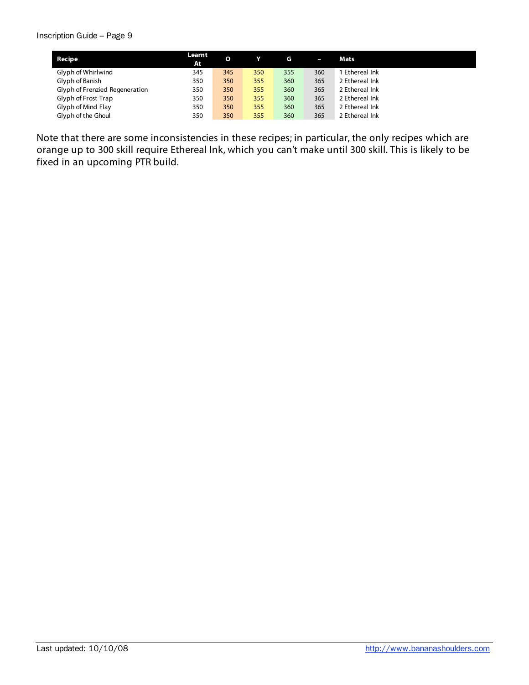#### Inscription Guide – Page 9

| Recipe                         | Learnt<br>At | O   |     | G   | I   | Mats           |
|--------------------------------|--------------|-----|-----|-----|-----|----------------|
| Glyph of Whirlwind             | 345          | 345 | 350 | 355 | 360 | 1 Ethereal Ink |
| Glyph of Banish                | 350          | 350 | 355 | 360 | 365 | 2 Ethereal Ink |
| Glyph of Frenzied Regeneration | 350          | 350 | 355 | 360 | 365 | 2 Ethereal Ink |
| Glyph of Frost Trap            | 350          | 350 | 355 | 360 | 365 | 2 Ethereal Ink |
| Glyph of Mind Flay             | 350          | 350 | 355 | 360 | 365 | 2 Ethereal Ink |
| Glyph of the Ghoul             | 350          | 350 | 355 | 360 | 365 | 2 Ethereal Ink |

Note that there are some inconsistencies in these recipes; in particular, the only recipes which are orange up to 300 skill require Ethereal Ink, which you can't make until 300 skill. This is likely to be fixed in an upcoming PTR build.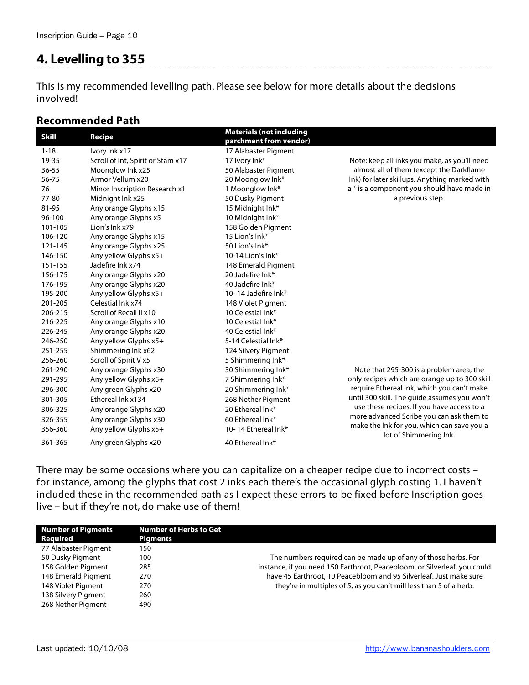# **4. Levelling to 355**

This is my recommended levelling path. Please see below for more details about the decisions involved!

### **Recommended Path**

| <b>Skill</b> | <b>Recipe</b>                     | <b>Materials (not including</b><br>parchment from vendor) |                                                                      |
|--------------|-----------------------------------|-----------------------------------------------------------|----------------------------------------------------------------------|
| $1 - 18$     | Ivory Ink x17                     | 17 Alabaster Pigment                                      |                                                                      |
| 19-35        | Scroll of Int, Spirit or Stam x17 | 17 Ivory Ink*                                             | Note: keep all inks you make, as you'll need                         |
| $36 - 55$    | Moonglow Ink x25                  | 50 Alabaster Pigment                                      | almost all of them (except the Darkflame                             |
| 56-75        | Armor Vellum x20                  | 20 Moonglow Ink*                                          | Ink) for later skillups. Anything marked with                        |
| 76           | Minor Inscription Research x1     | 1 Moonglow Ink*                                           | a * is a component you should have made in                           |
| 77-80        | Midnight Ink x25                  | 50 Dusky Pigment                                          | a previous step.                                                     |
| 81-95        | Any orange Glyphs x15             | 15 Midnight Ink*                                          |                                                                      |
| 96-100       | Any orange Glyphs x5              | 10 Midnight Ink*                                          |                                                                      |
| 101-105      | Lion's Ink x79                    | 158 Golden Pigment                                        |                                                                      |
| 106-120      | Any orange Glyphs x15             | 15 Lion's Ink*                                            |                                                                      |
| 121-145      | Any orange Glyphs x25             | 50 Lion's Ink*                                            |                                                                      |
| 146-150      | Any yellow Glyphs x5+             | 10-14 Lion's Ink*                                         |                                                                      |
| 151-155      | Jadefire Ink x74                  | 148 Emerald Pigment                                       |                                                                      |
| 156-175      | Any orange Glyphs x20             | 20 Jadefire Ink*                                          |                                                                      |
| 176-195      | Any orange Glyphs x20             | 40 Jadefire Ink*                                          |                                                                      |
| 195-200      | Any yellow Glyphs x5+             | 10-14 Jadefire Ink*                                       |                                                                      |
| 201-205      | Celestial Ink x74                 | 148 Violet Pigment                                        |                                                                      |
| 206-215      | Scroll of Recall II x10           | 10 Celestial Ink*                                         |                                                                      |
| 216-225      | Any orange Glyphs x10             | 10 Celestial Ink*                                         |                                                                      |
| 226-245      | Any orange Glyphs x20             | 40 Celestial Ink*                                         |                                                                      |
| 246-250      | Any yellow Glyphs x5+             | 5-14 Celestial Ink*                                       |                                                                      |
| 251-255      | Shimmering Ink x62                | 124 Silvery Pigment                                       |                                                                      |
| 256-260      | Scroll of Spirit V x5             | 5 Shimmering Ink*                                         |                                                                      |
| 261-290      | Any orange Glyphs x30             | 30 Shimmering Ink*                                        | Note that 295-300 is a problem area; the                             |
| 291-295      | Any yellow Glyphs x5+             | 7 Shimmering Ink*                                         | only recipes which are orange up to 300 skill                        |
| 296-300      | Any green Glyphs x20              | 20 Shimmering Ink*                                        | require Ethereal Ink, which you can't make                           |
| 301-305      | Ethereal Ink x134                 | 268 Nether Pigment                                        | until 300 skill. The guide assumes you won't                         |
| 306-325      | Any orange Glyphs x20             | 20 Ethereal Ink*                                          | use these recipes. If you have access to a                           |
| 326-355      | Any orange Glyphs x30             | 60 Ethereal Ink*                                          | more advanced Scribe you can ask them to                             |
| 356-360      | Any yellow Glyphs x5+             | 10-14 Ethereal Ink*                                       | make the Ink for you, which can save you a<br>lot of Shimmering Ink. |
| 361-365      | Any green Glyphs x20              | 40 Ethereal Ink*                                          |                                                                      |

There may be some occasions where you can capitalize on a cheaper recipe due to incorrect costs – for instance, among the glyphs that cost 2 inks each there's the occasional glyph costing 1. I haven't included these in the recommended path as I expect these errors to be fixed before Inscription goes live – but if they're not, do make use of them!

| <b>Number of Pigments</b><br>Reguired | <b>Number of Herbs to Get</b><br>Pigments |                                                                           |
|---------------------------------------|-------------------------------------------|---------------------------------------------------------------------------|
| 77 Alabaster Pigment                  | 150                                       |                                                                           |
| 50 Dusky Pigment                      | 100                                       | The numbers required can be made up of any of those herbs. For            |
| 158 Golden Pigment                    | 285                                       | instance, if you need 150 Earthroot, Peacebloom, or Silverleaf, you could |
| 148 Emerald Pigment                   | 270                                       | have 45 Earthroot, 10 Peacebloom and 95 Silverleaf. Just make sure        |
| 148 Violet Pigment                    | 270                                       | they're in multiples of 5, as you can't mill less than 5 of a herb.       |
| 138 Silvery Pigment                   | 260                                       |                                                                           |
| 268 Nether Pigment                    | 490                                       |                                                                           |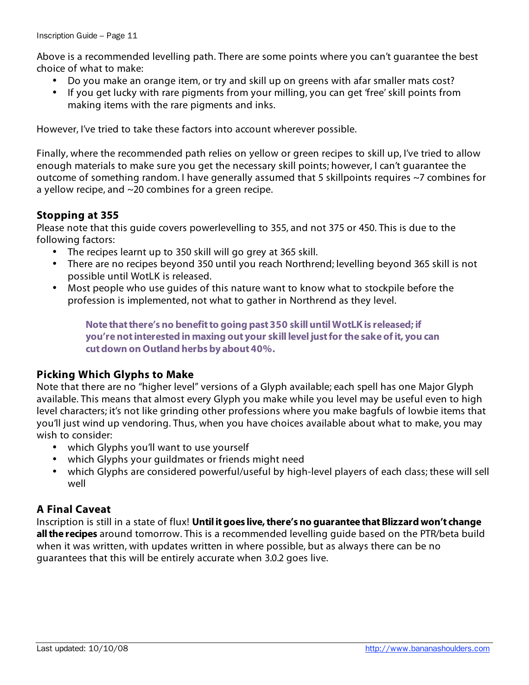Above is a recommended levelling path. There are some points where you can't guarantee the best choice of what to make:

- Do you make an orange item, or try and skill up on greens with afar smaller mats cost?
- If you get lucky with rare pigments from your milling, you can get 'free' skill points from making items with the rare pigments and inks.

However, I've tried to take these factors into account wherever possible.

Finally, where the recommended path relies on yellow or green recipes to skill up, I've tried to allow enough materials to make sure you get the necessary skill points; however, I can't guarantee the outcome of something random. I have generally assumed that 5 skillpoints requires ~7 combines for a yellow recipe, and ~20 combines for a green recipe.

### **Stopping at 355**

Please note that this guide covers powerlevelling to 355, and not 375 or 450. This is due to the following factors:

- The recipes learnt up to 350 skill will go grey at 365 skill.
- There are no recipes beyond 350 until you reach Northrend; levelling beyond 365 skill is not possible until WotLK is released.
- Most people who use guides of this nature want to know what to stockpile before the profession is implemented, not what to gather in Northrend as they level.

**Note that there's no benefit to going past 350 skill until WotLK is released; if you're not interested in maxing out your skill level just for the sake of it, you can cut down on Outland herbs by about 40%.**

# **Picking Which Glyphs to Make**

Note that there are no "higher level" versions of a Glyph available; each spell has one Major Glyph available. This means that almost every Glyph you make while you level may be useful even to high level characters; it's not like grinding other professions where you make bagfuls of lowbie items that you'll just wind up vendoring. Thus, when you have choices available about what to make, you may wish to consider:

- which Glyphs you'll want to use yourself
- which Glyphs your guildmates or friends might need
- which Glyphs are considered powerful/useful by high-level players of each class; these will sell well

# **A Final Caveat**

Inscription is still in a state of flux! **Until it goes live, there's no guarantee that Blizzard won't change all the recipes** around tomorrow. This is a recommended levelling guide based on the PTR/beta build when it was written, with updates written in where possible, but as always there can be no guarantees that this will be entirely accurate when 3.0.2 goes live.